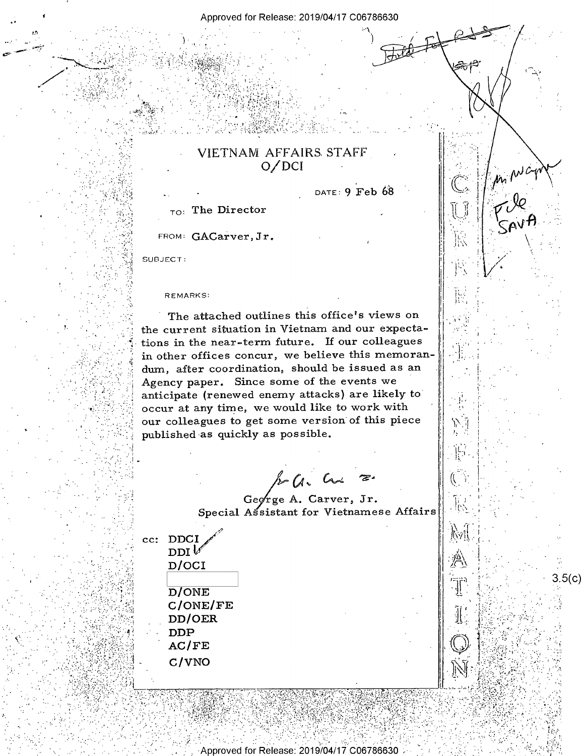## VIETNAM AFFAIRS STAFF  $O/DCI$

DATE: 9 Feb 68

sπf<sup>o</sup>

 $_{TO}$ : The Director

FROM: GACarver, Jr.

SUBJECT:

**REMARKS:** 

The attached outlines this office's views on the current situation in Vietnam and our expectations in the near-term future. If our colleagues in other offices concur, we believe this memorandum, after coordination, should be issued as an Agency paper. Since some of the events we anticipate (renewed enemy attacks) are likely to occur at any time, we would like to work with our colleagues to get some version of this piece published as quickly as possible.

 $k$   $a$   $a$ 

George A. Carver, Jr. Special Assistant for Vietnamese Affairs

Approved for Release: 2019/04/17 C06786630

cc: DDCI  $DDI\mathcal{V}$ D/OCI D/ONE  $C/ONE/FE$ DD/OER **DDP**  $AC/FE$ C/VNO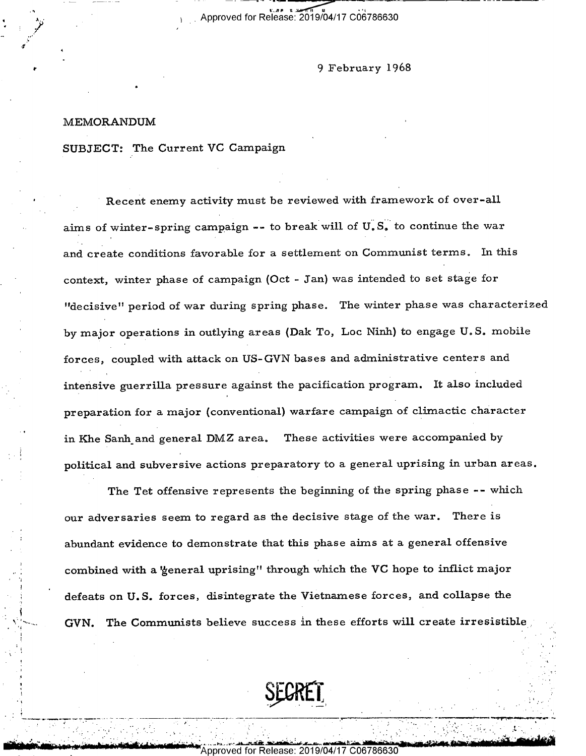## 9 February 1968

## MEMORANDUM

.

I I

I

'A.

6' '

~- ;.'J Ii' 1; "'.'|-1|'

I - -

\_

'

۰,

SUBJECT: The Current VC Campaign

Recent enemy activity must be reviewed with framework of over-all aims of winter-spring campaign -- to break will of  $U.S.$  to continue the war and create conditions favorable for a settlement on Communist terms. In this context, winter phase of campaign (Oct - Jan) was intended to set stage for "decisive" period of war during spring phase. The winter phase was characterized by major operations in outlying areas (Dak To, Loc Ninh) to engage U.S. mobile forces, coupled with attack on US-GVN bases and administrative centers and intensive guerrilla pressure against the pacification program. It also included preparation for a major (conventional) warfare campaign of climactic character in Khe Sanh and general DMZ area. These activities were accompanied by . political and subversive actions preparatory to a general uprising in urban areas.

The Tet offensive represents the beginning of the spring phase -- which our adversaries seem to regard as the decisive stage of the war. There is abundant evidence to demonstrate that this phase aims at a general offensive \_: combined with a 'general uprising" through which the VC hope to inflict major defeats on U.S. forces, disintegrate the Vietnamese forces, and collapse the GVN. The Communists believe success in these efforts will create irresistible



\_..\_-\_\_\_..\_\_c,,\_-\_....\_..\_.\_\_. p \_.\_\_,\_ \_ \_k\_\_\_ 6 \_ H\_,.M\_\_\_\_,\_\\_\_\_\_\_\_,\_\_\_\_~

<sup>I</sup>fi lb' ~I-"1;  $\bullet$  Approved for Release: 20  $C 06786630$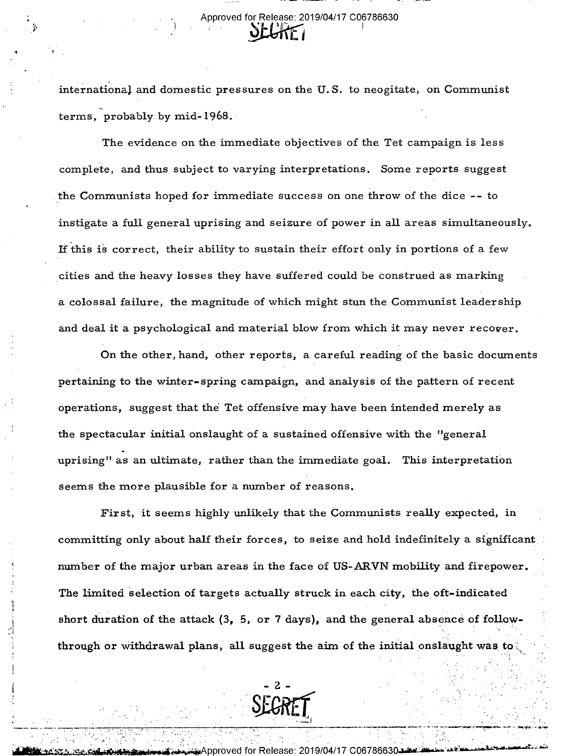international and domestic pressures on the U.S. to neogitate, on Communist terms, probably by mid- 1968. <sup>~</sup>

The evidence on the immediate objectives of the Tet campaign is less complete, and thus subject to varying interpretations. Some reports suggest the Communists hoped for immediate success on one throw of the dice -- to instigate a full general uprising and seizure of power in all areas simultaneously. If this is correct, their ability to sustain their effort only in portions of a few cities and the heavy losses they have suffered could be construed as marking a colossal failure, the magnitude of which might stun the Communist leadership and deal it a psychological and material blow from which it may never recover.

On the other, hand, other reports, a careful reading of the basic documents pertaining to the winter-spring campaign, and analysis of the pattern of recent operations, suggest that the Tet offensive may have been intended merely as the spectacular initial onslaught of a sustained offensive with the "general uprising" as an ultimate, rather than the immediate goal. This interpretation seems the more plausible for a number of reasons.

First, it seems highly unlikely that the Communists really expected, in committing only about half their forces, to seize and hold indefinitely a significant number of the major urban areas in the face of US-ARVN mobility and firepower. The limited selection of targets actually struck in each city, the oft-indicated short duration of the attack (3, 5, or 7 days), and the general absence of followthrough or withdrawal plans, all suggest the aim of the initial onslaught was to



- .. .. - :. - \_ /. ~\_;. .. -- -I . .- -' - ~, ~..- . '. \_ .

سمينينينينينينينينينينين "Approved for Release: 2019/04/17 C06786630.

 $\cdots$  , and  $\cdots$ 

-=..s--..-=-\* 1---=--"---I»-=-'\*

| . \_ .

\_\_

'

\_,,..-....\_.. \_v\_.-.\_,, ,-\_-»-\_.-\_ \_' '-\_\_' \_'\_

<u>- 7433 - 74 Felix Comment de Sta</u>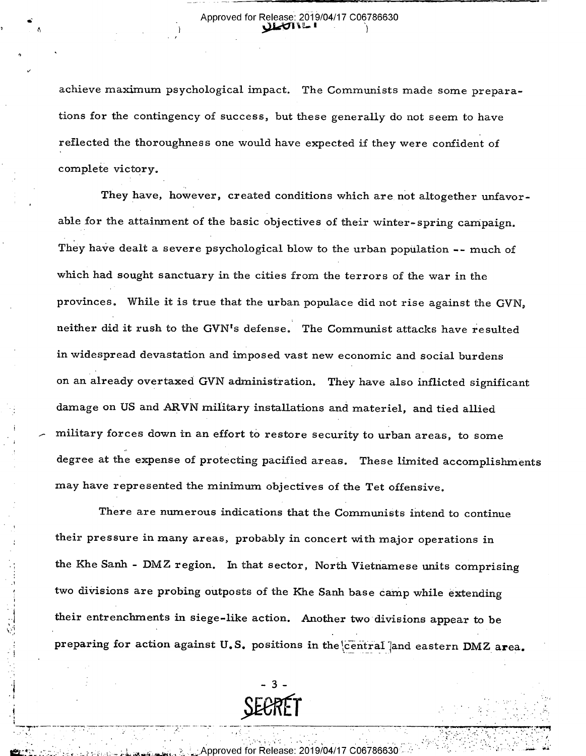\_\_\_\_ \_\_\_\_. \_\_\_ 1\_\_t-Q 1—\_\_\_;:\_'- - H — v'\_

 $\mathcal{A}$  and  $\mathcal{A}$  is a interval of  $\mathcal{A}$  in the set of  $\mathcal{A}$ 

. 1

 $\tilde{\phantom{a}}$ 

1/

'1

I,

!

i

\_.\_,',,,.,.\_-.\_i\_-\_.\_'\_-\_\_ \_;.\_\_\_\_---¢.v».,.\_\_.i\_\_\_-'\_..-.\_...T\_v\_\_- - -~\_-— »--» <sup>V</sup>

'

achieve maximum psychological impact. The Communists made some preparations for the contingency of success, but these generally do not seem to have reflected the thoroughness one would have expected if they were confident of complete victory.

They have, however, created conditions which are not altogether unfavorable for the attainment of the basic objectives of their winter-spring campaign. They have dealt a severe psychological blow to the urban population -- much of which had sought sanctuary in the cities from the terrors of the war in the provinces. While it is true that the urban populace did not rise against the GVN, neither did it rush to the GVN's defense. The Communist attacks have resulted in widespread devastation and imposed vast new economic and social burdens on an already overtaxed GVN administration. They have also inflicted significant damage on US and ARVN military installations and materiel, and tied allied military forces down in an effort to restore security to urban areas, to some degree at the expense of protecting pacified areas. These limited accomplishments may have represented the minimurn objectives of the Tet offensive.

There are numerous indications that the Communists intend to continue their pressure in many areas, probably in concert with major operations in the Khe Sanh - DMZ region. In that sector, North Vietnamese units comprising two divisions are probing outposts of the Khe Sanh base camp while extending their entrenchments in siege-like action. Another two divisions appear to be preparing for action against U.S. positions in the central ]and eastern DMZ area.



--- .

<sub>ે.</sub> ્રં.ૂ.Approved for Release: 2019/04/17 C06786630:

\_ ' \_\_ '

y

" '

, which is a set of . We also the interaction of the set of  $\mathcal{A}$  , and  $\mathcal{A}$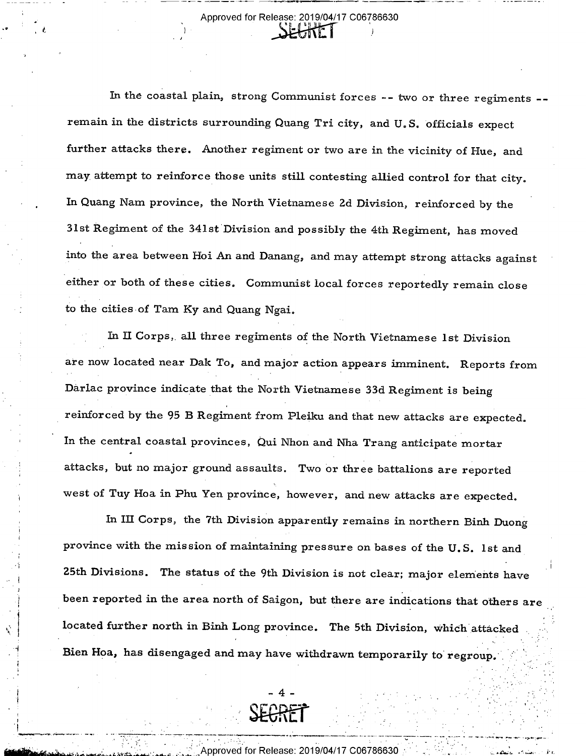-J

In the coastal plain, strong Communist forces -- two or three regiments - remain in the districts surrounding Quang Tri city, and U.S. officials expect further attacks there. Another regiment or two are in the vicinity of Hue, and may attempt to reinforce those units still contesting allied control for that city. In Quang Nam province, the North Vietnamese 2d Division, reinforced by the 31st Regiment of the 341st'Division and possibly the 4th Regiment, has moved into the area between Hoi An and Danang, and may attempt strong attacks against either or both of these cities. Communist local forces reportedly remain close to the cities-of Tam Ky and Quang Ngai.

In II Corps, all three regiments of the North Vietnamese 1st Division are now located near Dak To, and major action appears imminent. Reports from Darlac province indicate that the North Vietnamese 33d Regiment is being reinforced by the 95 B Regiment from Pleiku and that new attacks are expected. In the central coastal provinces, Qui Nhon and Nha Trang anticipate mortar attacks, but no major ground assaults. Two or three battalions are reported west of Tuy Hoa in Phu Yen province, however, and new attacks are expected.

In III Corps, the 7th Division apparently remains in northern Binh Duong province with the mission of maintaining pressure on bases of the U.S. 1st and 25th Divisions. The status of the 9th Division is not clear; major elements have been reported in the area north of Saigon, but there are indications that others are located further north in Binh Long province. The 5th Division, which attacked Bien Hoa, has disengaged and may have withdrawn temporarily to regroup.



4

 $\ddot{\phantom{0}}$ 

)

 $\bar{ }$  $\cdot$ I  $\cdot$ 

"

--\_-%- ..\_'.--...\_-\_\_. -\_' - -- '

 $\mathcal{P}_\text{c}$  . In this case of the set of the set of the set of the set of the set of the set of the set of the set of the set of the set of the set of the set of the set of the set of the set of the set of the set of th

proved for Release: 2019/04/17 C06786630  $\mathbb{Z}^\infty$  at a summing the set of the set of the set of the set of the set of the set of the set of the set of the set of the set of the set of the set of the set of the set of the set of the set of the set of the set o

\*

\_ - ~~-~ 7 \_~- .\_....\_.. \_\_ \_ n n ...\_. \_.\_--,,,\_ , , \_.\_\_ W \_.---..\_., - - .\_ "7 -\_.,.<,.\_. ,-\_ 'B \_\_ ,

' \_ M \_ WE - WE ALL A WE ARE A WARD AND THE MAIL AND THE MAIL AND THE MAIL AND THE MAIL AND THE MAIL AND THE M

'California' - '' - i

. .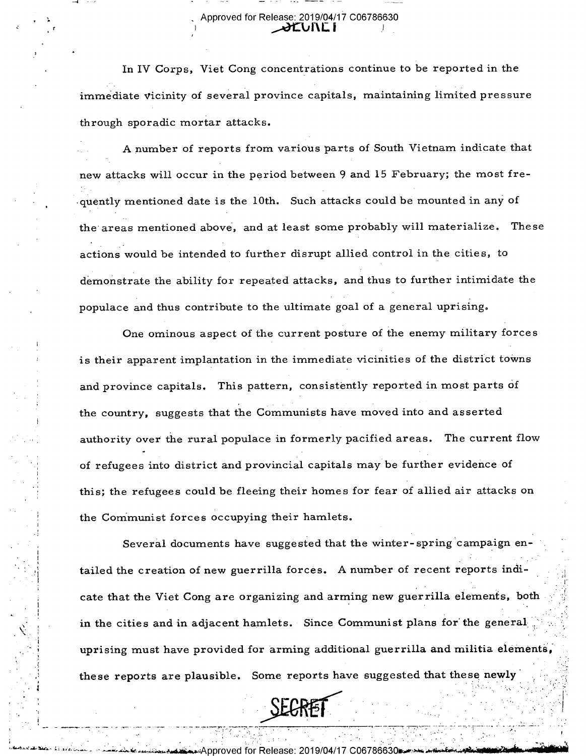In IV Corps, Viet Cong concentrations continue to be reported in the immediate vicinity of several province capitals, maintaining limited pressure through sporadic mortar attacks.

A number of reports from various parts of South Vietnam indicate that new attacks will occur in the period between 9 and 15 February; the most frequently mentioned date is the 10th. Such attacks could be mounted in any of the areas mentioned above, and at least some probably will materialize. These actions would be intended to further disrupt allied control in the cities, to demonstrate the ability for repeated attacks, and thus to further intimidate the populace and thus contribute to the ultimate goal of a general uprising.

One ominous aspect of the current posture of the enemy military forces is their apparent implantation in the immediate vicinities of the district towns and province capitals. This pattern, consistently reported in most parts of the country, suggests that the Communists have moved into and asserted authority over the rural populace in formerly pacified areas. The current flow of refugees into district and provincial capitals may be further evidence of this; the refugees could be fleeing their homes for fear of allied air attacks on the Communist forces occupying their hamlets.

Several documents have suggested that the winter-spring campaign entailed the creation of new guerrilla forces. A number of recent reports indicate that the Viet Cong are organizing and arming new guerrilla elements, both in the cities and in adjacent hamlets. Since Communist plans for the general uprising must have provided for arming additional guerrilla and militia elements, these reports are plausible. Some reports have suggested that these newly

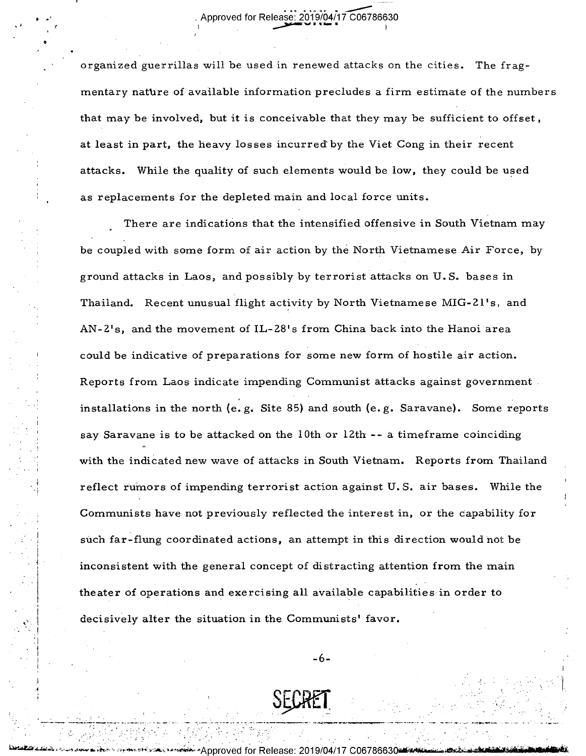<sup>1</sup>\_>\_

 $\cdot$   $\cdot$ 

0 <sup>v</sup> I

r III e an an Italia an an Italia an Italia an Italia an Italia an Italia an Italia an Italia an Italia an Ita

 $^{\circ}$ 

 $\blacksquare$  .

organized guerrillas will be used in renewed attacks on the cities. The fragmentary nature of available information precludes a firm estimate of the numbers that may be involved, but it is conceivable that they may be sufficient to offset , at least in part, the heavy losses incurred' by the Viet Cong in their recent attacks. While the quality of such elements would be low, they could be used as replacements for the depleted main and local force units.

There are indications that the intensified offensive in South Vietnam may be coupled with some form of air action by the North Vietnamese Air Force, by ground attacks in Laos, and possibly by terrorist attacks on U. S. bases in Thailand. Recent unusual flight activity by North Vietnamese MIG-21's, and AN-2's, and the movement of IL-28's from China back into the Hanoi area could be indicative of preparations for some new form of hostile air action. Reports from Laos indicate impending Communist attacks against government . installations in the north (e. g. Site 85) and south (e. g. Saravane). Some reports say Saravane is to be attacked on the l0th or 12th -- a timeframe coinciding with the indicated new wave of attacks in South Vietnam. Reports from Thailand reflect rumors of impending terrorist action against U.S. air bases. While the Communists have not previously reflected the interest in, or the capability for such far-flung coordinated actions, an attempt in this direction would not be inconsistent with the general concept of distracting attention from the main theater of operations and exercising all available capabilities in order to decisively alter the situation in the Communists' favor.

-6-

www.mandragram.com.sum.sum.sum.sum.com/

ا Approved for Release: 2019/04/17 المختصمين بمستقل بالمجموعين بمستقل المجموعين المستقلة المتفاوت المستقلة المجموعي